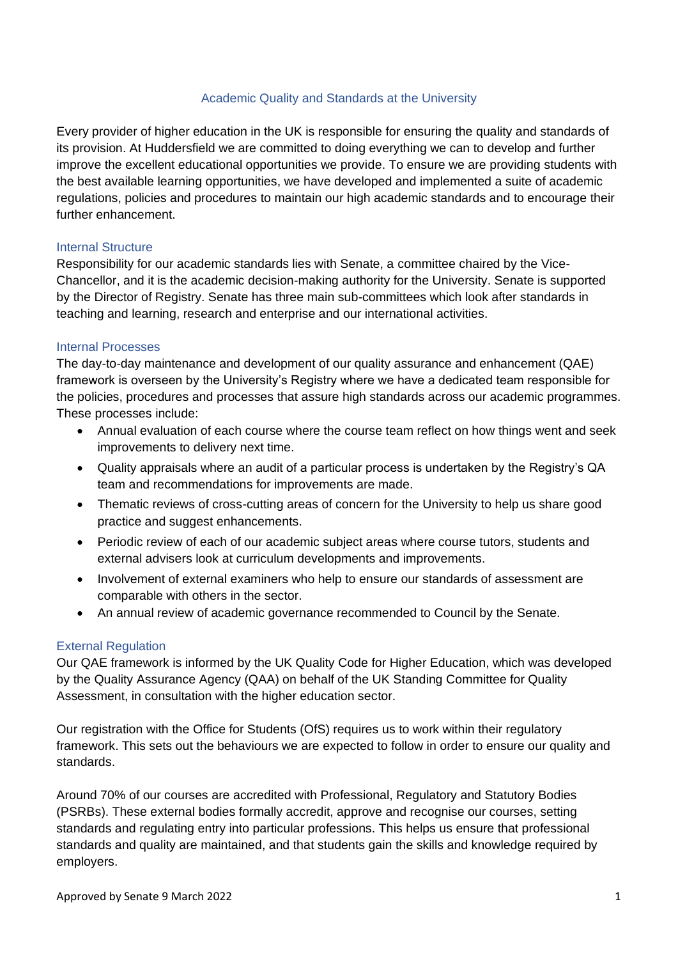# Academic Quality and Standards at the University

Every provider of higher education in the UK is responsible for ensuring the quality and standards of its provision. At Huddersfield we are committed to doing everything we can to develop and further improve the excellent educational opportunities we provide. To ensure we are providing students with the best available learning opportunities, we have developed and implemented a suite of academic regulations, policies and procedures to maintain our high academic standards and to encourage their further enhancement.

#### Internal Structure

Responsibility for our academic standards lies with Senate, a committee chaired by the Vice-Chancellor, and it is the academic decision-making authority for the University. Senate is supported by the Director of Registry. Senate has three main sub-committees which look after standards in teaching and learning, research and enterprise and our international activities.

## Internal Processes

The day-to-day maintenance and development of our quality assurance and enhancement (QAE) framework is overseen by the University's Registry where we have a dedicated team responsible for the policies, procedures and processes that assure high standards across our academic programmes. These processes include:

- Annual evaluation of each course where the course team reflect on how things went and seek improvements to delivery next time.
- Quality appraisals where an audit of a particular process is undertaken by the Registry's QA team and recommendations for improvements are made.
- Thematic reviews of cross-cutting areas of concern for the University to help us share good practice and suggest enhancements.
- Periodic review of each of our academic subject areas where course tutors, students and external advisers look at curriculum developments and improvements.
- Involvement of external examiners who help to ensure our standards of assessment are comparable with others in the sector.
- An annual review of academic governance recommended to Council by the Senate.

# External Regulation

Our QAE framework is informed by the UK Quality Code for Higher Education, which was developed by the Quality Assurance Agency (QAA) on behalf of the UK Standing Committee for Quality Assessment, in consultation with the higher education sector.

Our registration with the Office for Students (OfS) requires us to work within their regulatory framework. This sets out the behaviours we are expected to follow in order to ensure our quality and standards.

Around 70% of our courses are accredited with Professional, Regulatory and Statutory Bodies (PSRBs). These external bodies formally accredit, approve and recognise our courses, setting standards and regulating entry into particular professions. This helps us ensure that professional standards and quality are maintained, and that students gain the skills and knowledge required by employers.